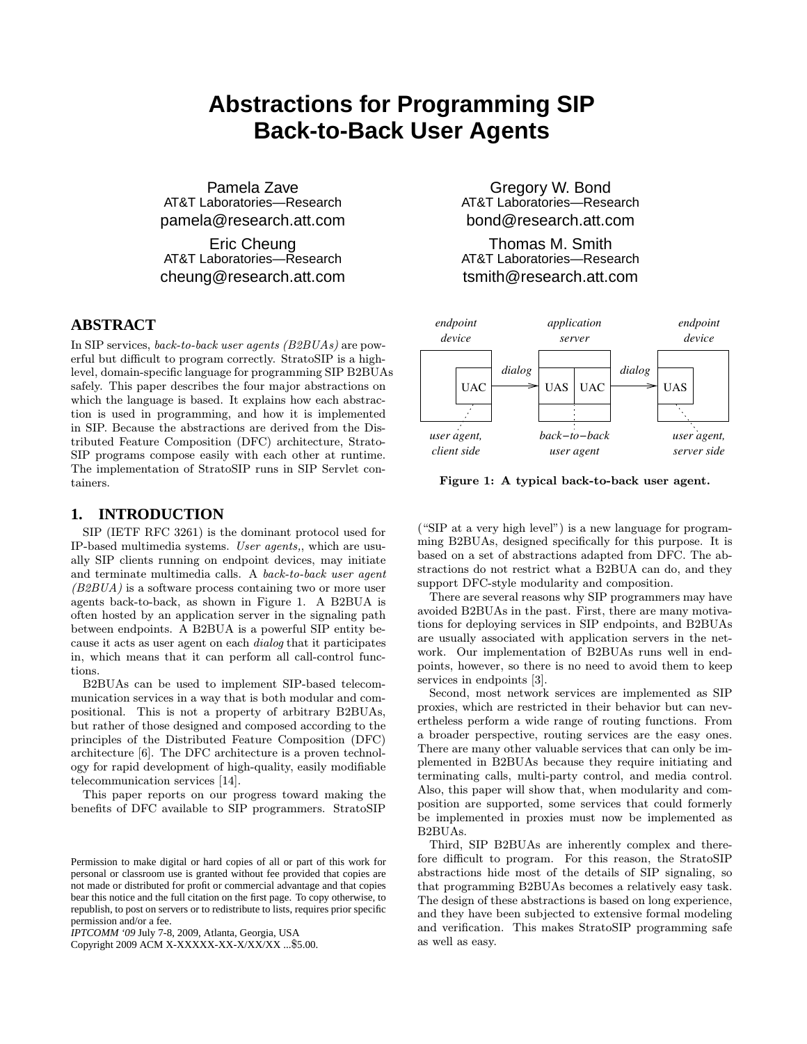# **Abstractions for Programming SIP Back-to-Back User Agents**

Pamela Zave AT&T Laboratories—Research pamela@research.att.com

Eric Cheung AT&T Laboratories—Research cheung@research.att.com

# **ABSTRACT**

In SIP services, back-to-back user agents (B2BUAs) are powerful but difficult to program correctly. StratoSIP is a highlevel, domain-specific language for programming SIP B2BUAs safely. This paper describes the four major abstractions on which the language is based. It explains how each abstraction is used in programming, and how it is implemented in SIP. Because the abstractions are derived from the Distributed Feature Composition (DFC) architecture, Strato-SIP programs compose easily with each other at runtime. The implementation of StratoSIP runs in SIP Servlet containers.

#### **1. INTRODUCTION**

SIP (IETF RFC 3261) is the dominant protocol used for IP-based multimedia systems. User agents,, which are usually SIP clients running on endpoint devices, may initiate and terminate multimedia calls. A back-to-back user agent (B2BUA) is a software process containing two or more user agents back-to-back, as shown in Figure 1. A B2BUA is often hosted by an application server in the signaling path between endpoints. A B2BUA is a powerful SIP entity because it acts as user agent on each dialog that it participates in, which means that it can perform all call-control functions.

B2BUAs can be used to implement SIP-based telecommunication services in a way that is both modular and compositional. This is not a property of arbitrary B2BUAs, but rather of those designed and composed according to the principles of the Distributed Feature Composition (DFC) architecture [6]. The DFC architecture is a proven technology for rapid development of high-quality, easily modifiable telecommunication services [14].

This paper reports on our progress toward making the benefits of DFC available to SIP programmers. StratoSIP

Copyright 2009 ACM X-XXXXX-XX-X/XX/XX ...\$5.00.

Gregory W. Bond AT&T Laboratories—Research bond@research.att.com

Thomas M. Smith AT&T Laboratories—Research tsmith@research.att.com



Figure 1: A typical back-to-back user agent.

("SIP at a very high level") is a new language for programming B2BUAs, designed specifically for this purpose. It is based on a set of abstractions adapted from DFC. The abstractions do not restrict what a B2BUA can do, and they support DFC-style modularity and composition.

There are several reasons why SIP programmers may have avoided B2BUAs in the past. First, there are many motivations for deploying services in SIP endpoints, and B2BUAs are usually associated with application servers in the network. Our implementation of B2BUAs runs well in endpoints, however, so there is no need to avoid them to keep services in endpoints [3].

Second, most network services are implemented as SIP proxies, which are restricted in their behavior but can nevertheless perform a wide range of routing functions. From a broader perspective, routing services are the easy ones. There are many other valuable services that can only be implemented in B2BUAs because they require initiating and terminating calls, multi-party control, and media control. Also, this paper will show that, when modularity and composition are supported, some services that could formerly be implemented in proxies must now be implemented as B2BUAs.

Third, SIP B2BUAs are inherently complex and therefore difficult to program. For this reason, the StratoSIP abstractions hide most of the details of SIP signaling, so that programming B2BUAs becomes a relatively easy task. The design of these abstractions is based on long experience, and they have been subjected to extensive formal modeling and verification. This makes StratoSIP programming safe as well as easy.

Permission to make digital or hard copies of all or part of this work for personal or classroom use is granted without fee provided that copies are not made or distributed for profit or commercial advantage and that copies bear this notice and the full citation on the first page. To copy otherwise, to republish, to post on servers or to redistribute to lists, requires prior specific permission and/or a fee.

*IPTCOMM '09* July 7-8, 2009, Atlanta, Georgia, USA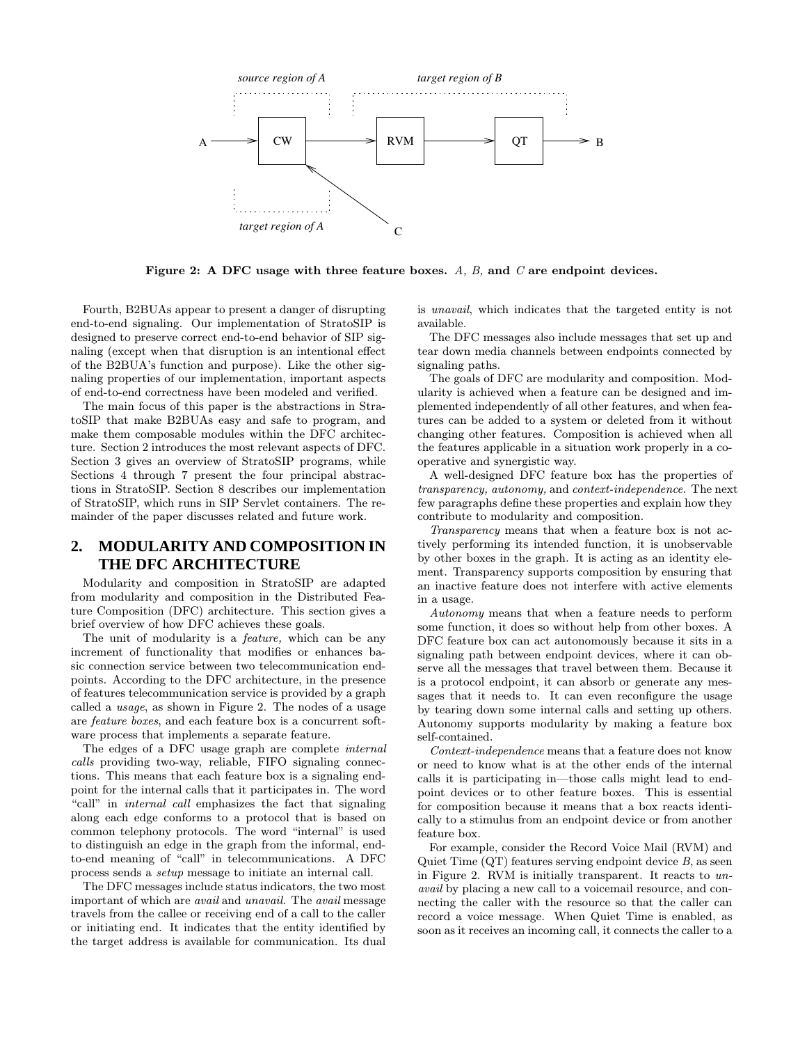

Figure 2: A DFC usage with three feature boxes.  $A, B$ , and  $C$  are endpoint devices.

Fourth, B2BUAs appear to present a danger of disrupting end-to-end signaling. Our implementation of StratoSIP is designed to preserve correct end-to-end behavior of SIP signaling (except when that disruption is an intentional effect of the B2BUA's function and purpose). Like the other signaling properties of our implementation, important aspects of end-to-end correctness have been modeled and verified.

The main focus of this paper is the abstractions in StratoSIP that make B2BUAs easy and safe to program, and make them composable modules within the DFC architecture. Section 2 introduces the most relevant aspects of DFC. Section 3 gives an overview of StratoSIP programs, while Sections 4 through 7 present the four principal abstractions in StratoSIP. Section 8 describes our implementation of StratoSIP, which runs in SIP Servlet containers. The remainder of the paper discusses related and future work.

# **2. MODULARITY AND COMPOSITION IN THE DFC ARCHITECTURE**

Modularity and composition in StratoSIP are adapted from modularity and composition in the Distributed Feature Composition (DFC) architecture. This section gives a brief overview of how DFC achieves these goals.

The unit of modularity is a feature, which can be any increment of functionality that modifies or enhances basic connection service between two telecommunication endpoints. According to the DFC architecture, in the presence of features telecommunication service is provided by a graph called a usage, as shown in Figure 2. The nodes of a usage are feature boxes, and each feature box is a concurrent software process that implements a separate feature.

The edges of a DFC usage graph are complete internal calls providing two-way, reliable, FIFO signaling connections. This means that each feature box is a signaling endpoint for the internal calls that it participates in. The word "call" in internal call emphasizes the fact that signaling along each edge conforms to a protocol that is based on common telephony protocols. The word "internal" is used to distinguish an edge in the graph from the informal, endto-end meaning of "call" in telecommunications. A DFC process sends a setup message to initiate an internal call.

The DFC messages include status indicators, the two most important of which are avail and unavail. The avail message travels from the callee or receiving end of a call to the caller or initiating end. It indicates that the entity identified by the target address is available for communication. Its dual

is unavail, which indicates that the targeted entity is not available.

The DFC messages also include messages that set up and tear down media channels between endpoints connected by signaling paths.

The goals of DFC are modularity and composition. Modularity is achieved when a feature can be designed and implemented independently of all other features, and when features can be added to a system or deleted from it without changing other features. Composition is achieved when all the features applicable in a situation work properly in a cooperative and synergistic way.

A well-designed DFC feature box has the properties of transparency, autonomy, and context-independence. The next few paragraphs define these properties and explain how they contribute to modularity and composition.

Transparency means that when a feature box is not actively performing its intended function, it is unobservable by other boxes in the graph. It is acting as an identity element. Transparency supports composition by ensuring that an inactive feature does not interfere with active elements in a usage.

Autonomy means that when a feature needs to perform some function, it does so without help from other boxes. A DFC feature box can act autonomously because it sits in a signaling path between endpoint devices, where it can observe all the messages that travel between them. Because it is a protocol endpoint, it can absorb or generate any messages that it needs to. It can even reconfigure the usage by tearing down some internal calls and setting up others. Autonomy supports modularity by making a feature box self-contained.

Context-independence means that a feature does not know or need to know what is at the other ends of the internal calls it is participating in—those calls might lead to endpoint devices or to other feature boxes. This is essential for composition because it means that a box reacts identically to a stimulus from an endpoint device or from another feature box.

For example, consider the Record Voice Mail (RVM) and Quiet Time  $(QT)$  features serving endpoint device  $B$ , as seen in Figure 2. RVM is initially transparent. It reacts to unavail by placing a new call to a voicemail resource, and connecting the caller with the resource so that the caller can record a voice message. When Quiet Time is enabled, as soon as it receives an incoming call, it connects the caller to a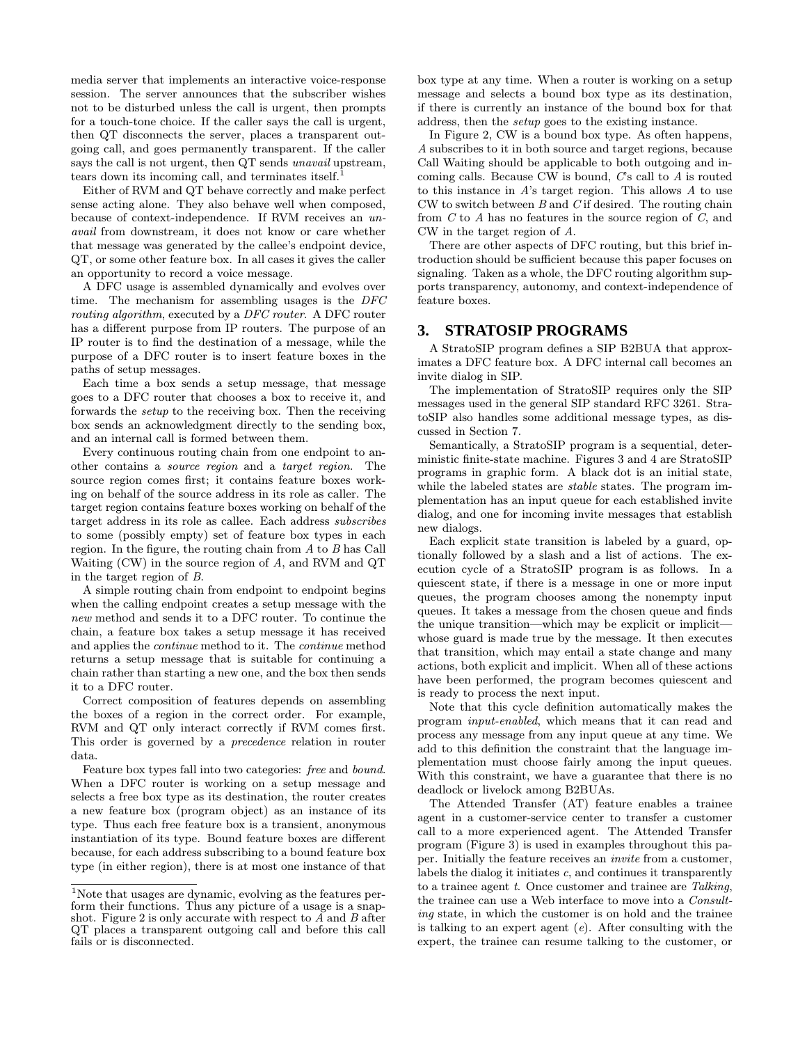media server that implements an interactive voice-response session. The server announces that the subscriber wishes not to be disturbed unless the call is urgent, then prompts for a touch-tone choice. If the caller says the call is urgent, then QT disconnects the server, places a transparent outgoing call, and goes permanently transparent. If the caller says the call is not urgent, then QT sends *unavail* upstream, tears down its incoming call, and terminates itself.<sup>1</sup>

Either of RVM and QT behave correctly and make perfect sense acting alone. They also behave well when composed, because of context-independence. If RVM receives an unavail from downstream, it does not know or care whether that message was generated by the callee's endpoint device, QT, or some other feature box. In all cases it gives the caller an opportunity to record a voice message.

A DFC usage is assembled dynamically and evolves over time. The mechanism for assembling usages is the DFC routing algorithm, executed by a DFC router. A DFC router has a different purpose from IP routers. The purpose of an IP router is to find the destination of a message, while the purpose of a DFC router is to insert feature boxes in the paths of setup messages.

Each time a box sends a setup message, that message goes to a DFC router that chooses a box to receive it, and forwards the setup to the receiving box. Then the receiving box sends an acknowledgment directly to the sending box, and an internal call is formed between them.

Every continuous routing chain from one endpoint to another contains a source region and a target region. The source region comes first; it contains feature boxes working on behalf of the source address in its role as caller. The target region contains feature boxes working on behalf of the target address in its role as callee. Each address subscribes to some (possibly empty) set of feature box types in each region. In the figure, the routing chain from A to B has Call Waiting (CW) in the source region of A, and RVM and QT in the target region of B.

A simple routing chain from endpoint to endpoint begins when the calling endpoint creates a setup message with the new method and sends it to a DFC router. To continue the chain, a feature box takes a setup message it has received and applies the continue method to it. The continue method returns a setup message that is suitable for continuing a chain rather than starting a new one, and the box then sends it to a DFC router.

Correct composition of features depends on assembling the boxes of a region in the correct order. For example, RVM and QT only interact correctly if RVM comes first. This order is governed by a precedence relation in router data.

Feature box types fall into two categories: free and bound. When a DFC router is working on a setup message and selects a free box type as its destination, the router creates a new feature box (program object) as an instance of its type. Thus each free feature box is a transient, anonymous instantiation of its type. Bound feature boxes are different because, for each address subscribing to a bound feature box type (in either region), there is at most one instance of that box type at any time. When a router is working on a setup message and selects a bound box type as its destination, if there is currently an instance of the bound box for that address, then the setup goes to the existing instance.

In Figure 2, CW is a bound box type. As often happens, A subscribes to it in both source and target regions, because Call Waiting should be applicable to both outgoing and incoming calls. Because CW is bound,  $C$ 's call to  $A$  is routed to this instance in A's target region. This allows A to use  $CW$  to switch between  $B$  and  $C$  if desired. The routing chain from  $C$  to  $A$  has no features in the source region of  $C$ , and CW in the target region of A.

There are other aspects of DFC routing, but this brief introduction should be sufficient because this paper focuses on signaling. Taken as a whole, the DFC routing algorithm supports transparency, autonomy, and context-independence of feature boxes.

### **3. STRATOSIP PROGRAMS**

A StratoSIP program defines a SIP B2BUA that approximates a DFC feature box. A DFC internal call becomes an invite dialog in SIP.

The implementation of StratoSIP requires only the SIP messages used in the general SIP standard RFC 3261. StratoSIP also handles some additional message types, as discussed in Section 7.

Semantically, a StratoSIP program is a sequential, deterministic finite-state machine. Figures 3 and 4 are StratoSIP programs in graphic form. A black dot is an initial state, while the labeled states are *stable* states. The program implementation has an input queue for each established invite dialog, and one for incoming invite messages that establish new dialogs.

Each explicit state transition is labeled by a guard, optionally followed by a slash and a list of actions. The execution cycle of a StratoSIP program is as follows. In a quiescent state, if there is a message in one or more input queues, the program chooses among the nonempty input queues. It takes a message from the chosen queue and finds the unique transition—which may be explicit or implicit whose guard is made true by the message. It then executes that transition, which may entail a state change and many actions, both explicit and implicit. When all of these actions have been performed, the program becomes quiescent and is ready to process the next input.

Note that this cycle definition automatically makes the program input-enabled, which means that it can read and process any message from any input queue at any time. We add to this definition the constraint that the language implementation must choose fairly among the input queues. With this constraint, we have a guarantee that there is no deadlock or livelock among B2BUAs.

The Attended Transfer (AT) feature enables a trainee agent in a customer-service center to transfer a customer call to a more experienced agent. The Attended Transfer program (Figure 3) is used in examples throughout this paper. Initially the feature receives an invite from a customer, labels the dialog it initiates c, and continues it transparently to a trainee agent t. Once customer and trainee are Talking, the trainee can use a Web interface to move into a Consulting state, in which the customer is on hold and the trainee is talking to an expert agent  $(e)$ . After consulting with the expert, the trainee can resume talking to the customer, or

<sup>1</sup>Note that usages are dynamic, evolving as the features perform their functions. Thus any picture of a usage is a snapshot. Figure 2 is only accurate with respect to  $A$  and  $B$  after QT places a transparent outgoing call and before this call fails or is disconnected.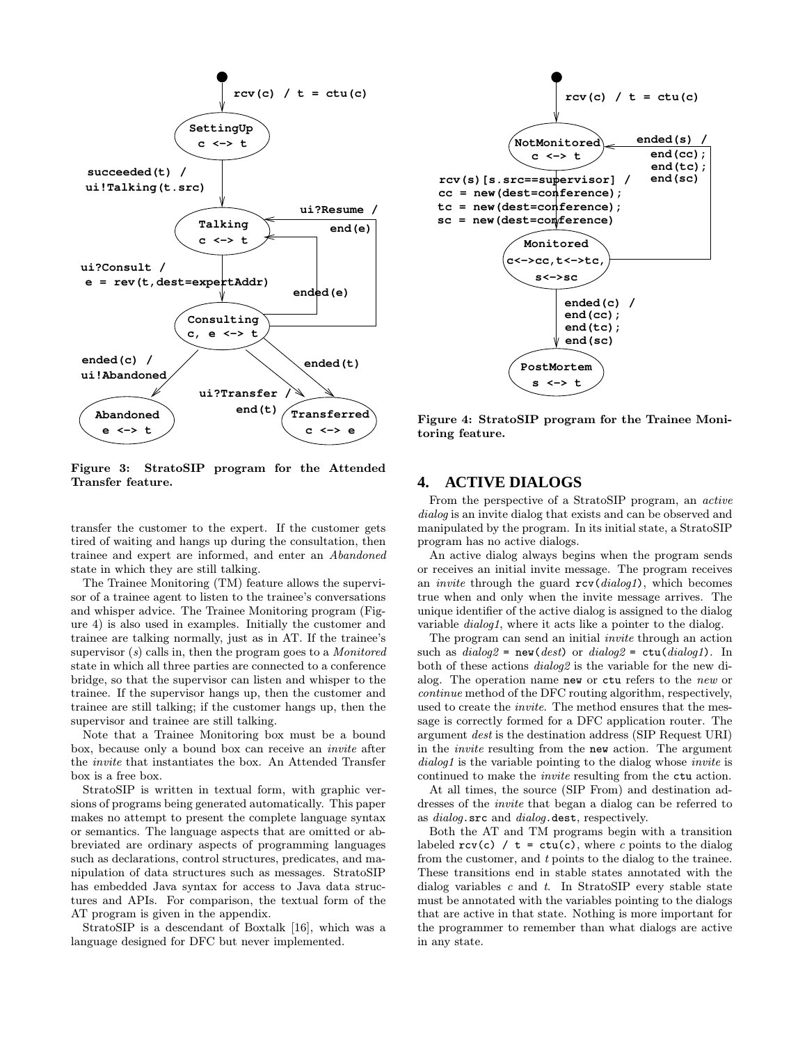

Figure 3: StratoSIP program for the Attended Transfer feature.

transfer the customer to the expert. If the customer gets tired of waiting and hangs up during the consultation, then trainee and expert are informed, and enter an Abandoned state in which they are still talking.

The Trainee Monitoring (TM) feature allows the supervisor of a trainee agent to listen to the trainee's conversations and whisper advice. The Trainee Monitoring program (Figure 4) is also used in examples. Initially the customer and trainee are talking normally, just as in AT. If the trainee's supervisor  $(s)$  calls in, then the program goes to a *Monitored* state in which all three parties are connected to a conference bridge, so that the supervisor can listen and whisper to the trainee. If the supervisor hangs up, then the customer and trainee are still talking; if the customer hangs up, then the supervisor and trainee are still talking.

Note that a Trainee Monitoring box must be a bound box, because only a bound box can receive an invite after the invite that instantiates the box. An Attended Transfer box is a free box.

StratoSIP is written in textual form, with graphic versions of programs being generated automatically. This paper makes no attempt to present the complete language syntax or semantics. The language aspects that are omitted or abbreviated are ordinary aspects of programming languages such as declarations, control structures, predicates, and manipulation of data structures such as messages. StratoSIP has embedded Java syntax for access to Java data structures and APIs. For comparison, the textual form of the AT program is given in the appendix.

StratoSIP is a descendant of Boxtalk [16], which was a language designed for DFC but never implemented.



Figure 4: StratoSIP program for the Trainee Monitoring feature.

### **4. ACTIVE DIALOGS**

From the perspective of a StratoSIP program, an active dialog is an invite dialog that exists and can be observed and manipulated by the program. In its initial state, a StratoSIP program has no active dialogs.

An active dialog always begins when the program sends or receives an initial invite message. The program receives an *invite* through the guard  $rcv(dialoq1)$ , which becomes true when and only when the invite message arrives. The unique identifier of the active dialog is assigned to the dialog variable dialog1, where it acts like a pointer to the dialog.

The program can send an initial invite through an action such as  $dialog2 = new(dest)$  or  $dialog2 = cut(dialog1)$ . In both of these actions dialog2 is the variable for the new dialog. The operation name new or ctu refers to the new or continue method of the DFC routing algorithm, respectively, used to create the invite. The method ensures that the message is correctly formed for a DFC application router. The argument dest is the destination address (SIP Request URI) in the invite resulting from the new action. The argument dialog1 is the variable pointing to the dialog whose *invite* is continued to make the invite resulting from the ctu action.

At all times, the source (SIP From) and destination addresses of the invite that began a dialog can be referred to as *dialog*.src and *dialog*.dest, respectively.

Both the AT and TM programs begin with a transition labeled  $rev(c)$  /  $t = cut(c)$ , where c points to the dialog from the customer, and t points to the dialog to the trainee. These transitions end in stable states annotated with the dialog variables  $c$  and  $t$ . In StratoSIP every stable state must be annotated with the variables pointing to the dialogs that are active in that state. Nothing is more important for the programmer to remember than what dialogs are active in any state.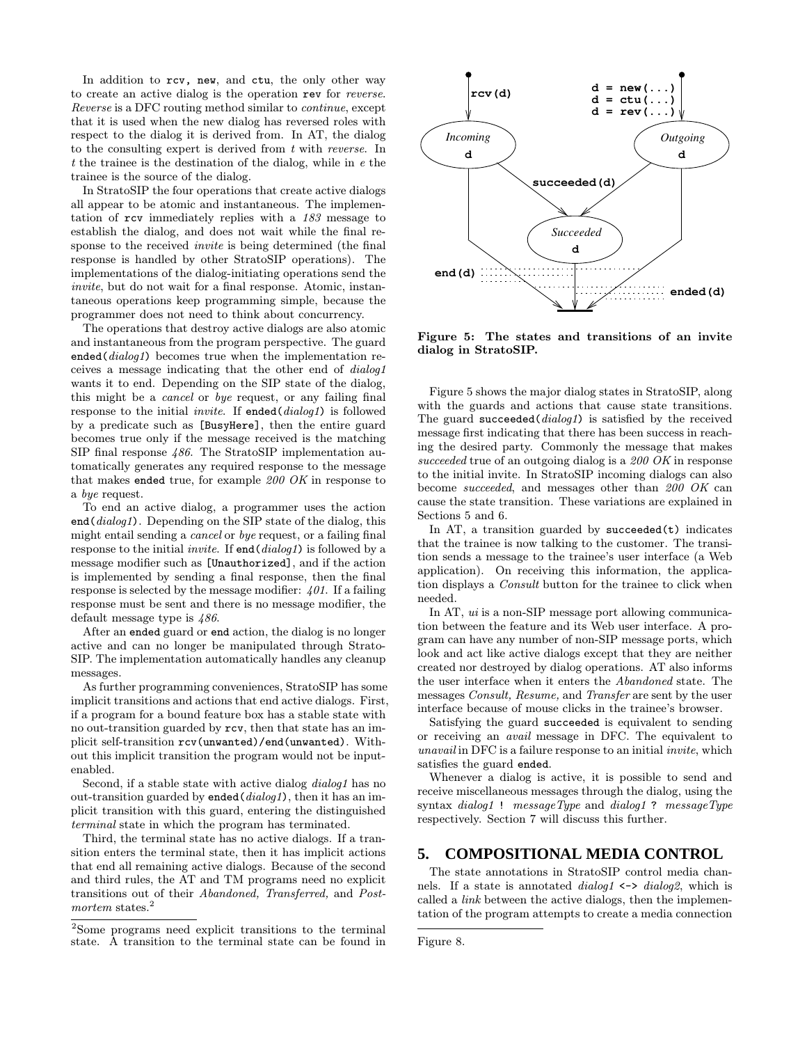In addition to rcv, new, and ctu, the only other way to create an active dialog is the operation rev for reverse. Reverse is a DFC routing method similar to continue, except that it is used when the new dialog has reversed roles with respect to the dialog it is derived from. In AT, the dialog to the consulting expert is derived from t with reverse. In t the trainee is the destination of the dialog, while in e the trainee is the source of the dialog.

In StratoSIP the four operations that create active dialogs all appear to be atomic and instantaneous. The implementation of rcv immediately replies with a 183 message to establish the dialog, and does not wait while the final response to the received invite is being determined (the final response is handled by other StratoSIP operations). The implementations of the dialog-initiating operations send the invite, but do not wait for a final response. Atomic, instantaneous operations keep programming simple, because the programmer does not need to think about concurrency.

The operations that destroy active dialogs are also atomic and instantaneous from the program perspective. The guard ended( $dialog1$ ) becomes true when the implementation receives a message indicating that the other end of dialog1 wants it to end. Depending on the SIP state of the dialog, this might be a cancel or bye request, or any failing final response to the initial *invite*. If ended( $dialog1$ ) is followed by a predicate such as [BusyHere], then the entire guard becomes true only if the message received is the matching SIP final response 486. The StratoSIP implementation automatically generates any required response to the message that makes ended true, for example  $200$  OK in response to a bye request.

To end an active dialog, a programmer uses the action end(dialog1). Depending on the SIP state of the dialog, this might entail sending a cancel or bye request, or a failing final response to the initial *invite*. If end(dialog1) is followed by a message modifier such as [Unauthorized], and if the action is implemented by sending a final response, then the final response is selected by the message modifier: 401. If a failing response must be sent and there is no message modifier, the default message type is 486.

After an ended guard or end action, the dialog is no longer active and can no longer be manipulated through Strato-SIP. The implementation automatically handles any cleanup messages.

As further programming conveniences, StratoSIP has some implicit transitions and actions that end active dialogs. First, if a program for a bound feature box has a stable state with no out-transition guarded by rcv, then that state has an implicit self-transition rcv(unwanted)/end(unwanted). Without this implicit transition the program would not be inputenabled.

Second, if a stable state with active dialog *dialog1* has no out-transition guarded by ended  $(dialoq1)$ , then it has an implicit transition with this guard, entering the distinguished terminal state in which the program has terminated.

Third, the terminal state has no active dialogs. If a transition enters the terminal state, then it has implicit actions that end all remaining active dialogs. Because of the second and third rules, the AT and TM programs need no explicit transitions out of their Abandoned, Transferred, and Postmortem states.<sup>2</sup>



Figure 5: The states and transitions of an invite dialog in StratoSIP.

Figure 5 shows the major dialog states in StratoSIP, along with the guards and actions that cause state transitions. The guard succeeded(dialog1) is satisfied by the received message first indicating that there has been success in reaching the desired party. Commonly the message that makes succeeded true of an outgoing dialog is a 200 OK in response to the initial invite. In StratoSIP incoming dialogs can also become succeeded, and messages other than 200 OK can cause the state transition. These variations are explained in Sections 5 and 6.

In AT, a transition guarded by  $succeeded(t)$  indicates that the trainee is now talking to the customer. The transition sends a message to the trainee's user interface (a Web application). On receiving this information, the application displays a Consult button for the trainee to click when needed.

In AT, ui is a non-SIP message port allowing communication between the feature and its Web user interface. A program can have any number of non-SIP message ports, which look and act like active dialogs except that they are neither created nor destroyed by dialog operations. AT also informs the user interface when it enters the Abandoned state. The messages Consult, Resume, and Transfer are sent by the user interface because of mouse clicks in the trainee's browser.

Satisfying the guard succeeded is equivalent to sending or receiving an avail message in DFC. The equivalent to unavail in DFC is a failure response to an initial invite, which satisfies the guard ended.

Whenever a dialog is active, it is possible to send and receive miscellaneous messages through the dialog, using the syntax dialog1 ! messageType and dialog1 ? messageType respectively. Section 7 will discuss this further.

#### **5. COMPOSITIONAL MEDIA CONTROL**

The state annotations in StratoSIP control media channels. If a state is annotated  $dialog1 \leftrightarrow dialog2$ , which is called a link between the active dialogs, then the implementation of the program attempts to create a media connection

```
Figure 8.
```
<sup>2</sup>Some programs need explicit transitions to the terminal state. A transition to the terminal state can be found in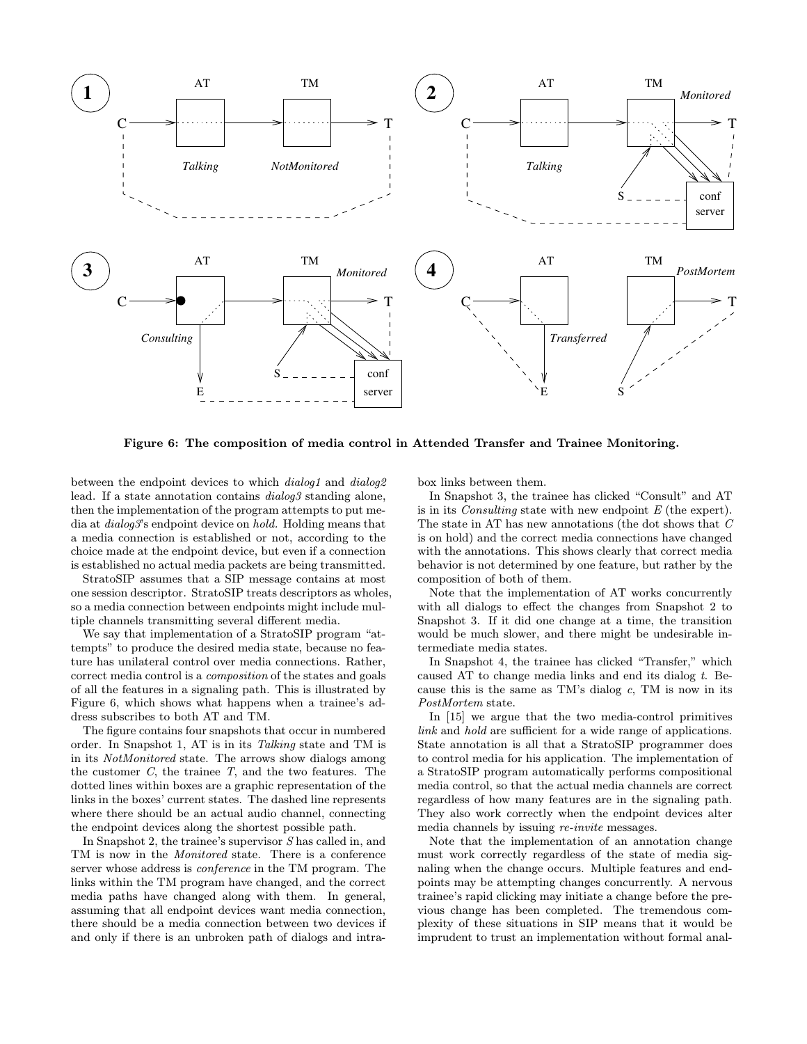

Figure 6: The composition of media control in Attended Transfer and Trainee Monitoring.

between the endpoint devices to which *dialog1* and *dialog2* lead. If a state annotation contains dialog3 standing alone, then the implementation of the program attempts to put media at *dialog3*'s endpoint device on *hold*. Holding means that a media connection is established or not, according to the choice made at the endpoint device, but even if a connection is established no actual media packets are being transmitted.

StratoSIP assumes that a SIP message contains at most one session descriptor. StratoSIP treats descriptors as wholes, so a media connection between endpoints might include multiple channels transmitting several different media.

We say that implementation of a StratoSIP program "attempts" to produce the desired media state, because no feature has unilateral control over media connections. Rather, correct media control is a composition of the states and goals of all the features in a signaling path. This is illustrated by Figure 6, which shows what happens when a trainee's address subscribes to both AT and TM.

The figure contains four snapshots that occur in numbered order. In Snapshot 1, AT is in its Talking state and TM is in its NotMonitored state. The arrows show dialogs among the customer  $C$ , the trainee  $T$ , and the two features. The dotted lines within boxes are a graphic representation of the links in the boxes' current states. The dashed line represents where there should be an actual audio channel, connecting the endpoint devices along the shortest possible path.

In Snapshot 2, the trainee's supervisor S has called in, and TM is now in the Monitored state. There is a conference server whose address is conference in the TM program. The links within the TM program have changed, and the correct media paths have changed along with them. In general, assuming that all endpoint devices want media connection, there should be a media connection between two devices if and only if there is an unbroken path of dialogs and intrabox links between them.

In Snapshot 3, the trainee has clicked "Consult" and AT is in its *Consulting* state with new endpoint  $E$  (the expert). The state in AT has new annotations (the dot shows that C is on hold) and the correct media connections have changed with the annotations. This shows clearly that correct media behavior is not determined by one feature, but rather by the composition of both of them.

Note that the implementation of AT works concurrently with all dialogs to effect the changes from Snapshot 2 to Snapshot 3. If it did one change at a time, the transition would be much slower, and there might be undesirable intermediate media states.

In Snapshot 4, the trainee has clicked "Transfer," which caused AT to change media links and end its dialog t. Because this is the same as  $TM$ 's dialog  $c$ , TM is now in its PostMortem state.

In [15] we argue that the two media-control primitives link and hold are sufficient for a wide range of applications. State annotation is all that a StratoSIP programmer does to control media for his application. The implementation of a StratoSIP program automatically performs compositional media control, so that the actual media channels are correct regardless of how many features are in the signaling path. They also work correctly when the endpoint devices alter media channels by issuing re-invite messages.

Note that the implementation of an annotation change must work correctly regardless of the state of media signaling when the change occurs. Multiple features and endpoints may be attempting changes concurrently. A nervous trainee's rapid clicking may initiate a change before the previous change has been completed. The tremendous complexity of these situations in SIP means that it would be imprudent to trust an implementation without formal anal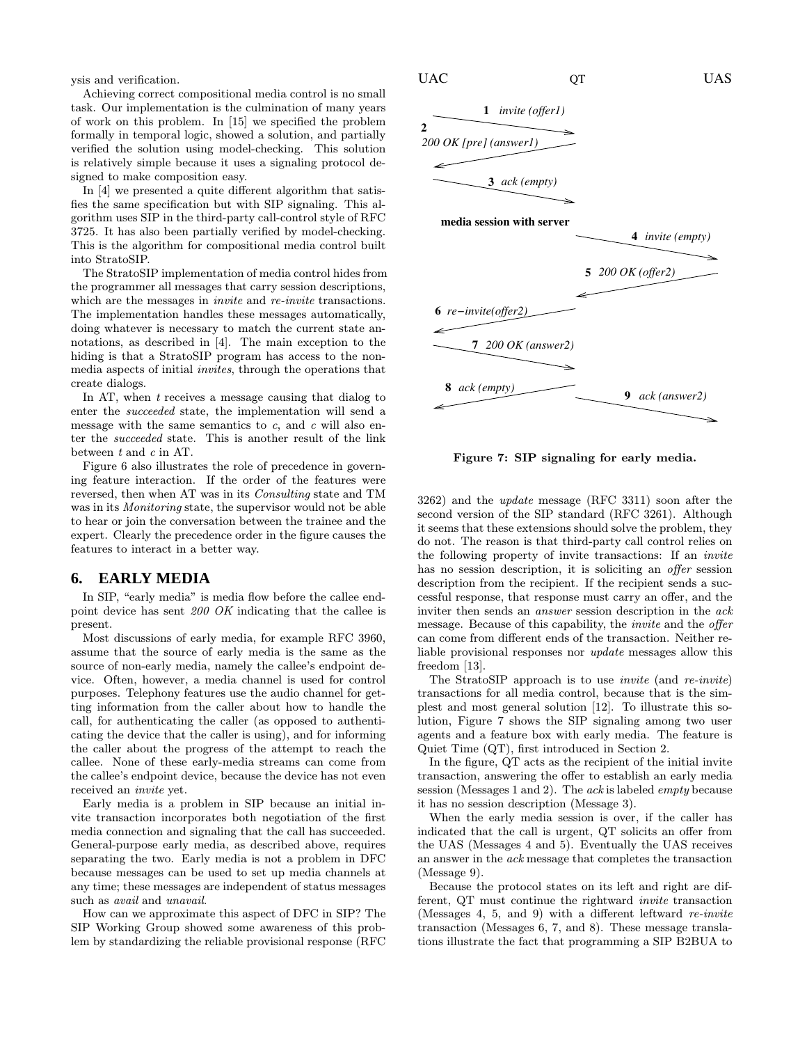ysis and verification.

Achieving correct compositional media control is no small task. Our implementation is the culmination of many years of work on this problem. In [15] we specified the problem formally in temporal logic, showed a solution, and partially verified the solution using model-checking. This solution is relatively simple because it uses a signaling protocol designed to make composition easy.

In [4] we presented a quite different algorithm that satisfies the same specification but with SIP signaling. This algorithm uses SIP in the third-party call-control style of RFC 3725. It has also been partially verified by model-checking. This is the algorithm for compositional media control built into StratoSIP.

The StratoSIP implementation of media control hides from the programmer all messages that carry session descriptions, which are the messages in *invite* and *re-invite* transactions. The implementation handles these messages automatically, doing whatever is necessary to match the current state annotations, as described in [4]. The main exception to the hiding is that a StratoSIP program has access to the nonmedia aspects of initial invites, through the operations that create dialogs.

In AT, when t receives a message causing that dialog to enter the succeeded state, the implementation will send a message with the same semantics to  $c$ , and  $c$  will also enter the succeeded state. This is another result of the link between t and c in AT.

Figure 6 also illustrates the role of precedence in governing feature interaction. If the order of the features were reversed, then when AT was in its Consulting state and TM was in its Monitoring state, the supervisor would not be able to hear or join the conversation between the trainee and the expert. Clearly the precedence order in the figure causes the features to interact in a better way.

#### **6. EARLY MEDIA**

In SIP, "early media" is media flow before the callee endpoint device has sent 200 OK indicating that the callee is present.

Most discussions of early media, for example RFC 3960, assume that the source of early media is the same as the source of non-early media, namely the callee's endpoint device. Often, however, a media channel is used for control purposes. Telephony features use the audio channel for getting information from the caller about how to handle the call, for authenticating the caller (as opposed to authenticating the device that the caller is using), and for informing the caller about the progress of the attempt to reach the callee. None of these early-media streams can come from the callee's endpoint device, because the device has not even received an invite yet.

Early media is a problem in SIP because an initial invite transaction incorporates both negotiation of the first media connection and signaling that the call has succeeded. General-purpose early media, as described above, requires separating the two. Early media is not a problem in DFC because messages can be used to set up media channels at any time; these messages are independent of status messages such as *avail* and *unavail*.

How can we approximate this aspect of DFC in SIP? The SIP Working Group showed some awareness of this problem by standardizing the reliable provisional response (RFC



Figure 7: SIP signaling for early media.

3262) and the update message (RFC 3311) soon after the second version of the SIP standard (RFC 3261). Although it seems that these extensions should solve the problem, they do not. The reason is that third-party call control relies on the following property of invite transactions: If an invite has no session description, it is soliciting an *offer* session description from the recipient. If the recipient sends a successful response, that response must carry an offer, and the inviter then sends an *answer* session description in the *ack* message. Because of this capability, the *invite* and the *offer* can come from different ends of the transaction. Neither reliable provisional responses nor update messages allow this freedom [13].

The StratoSIP approach is to use invite (and re-invite) transactions for all media control, because that is the simplest and most general solution [12]. To illustrate this solution, Figure 7 shows the SIP signaling among two user agents and a feature box with early media. The feature is Quiet Time (QT), first introduced in Section 2.

In the figure, QT acts as the recipient of the initial invite transaction, answering the offer to establish an early media session (Messages 1 and 2). The ack is labeled empty because it has no session description (Message 3).

When the early media session is over, if the caller has indicated that the call is urgent, QT solicits an offer from the UAS (Messages 4 and 5). Eventually the UAS receives an answer in the ack message that completes the transaction (Message 9).

Because the protocol states on its left and right are different, QT must continue the rightward invite transaction (Messages 4, 5, and 9) with a different leftward re-invite transaction (Messages 6, 7, and 8). These message translations illustrate the fact that programming a SIP B2BUA to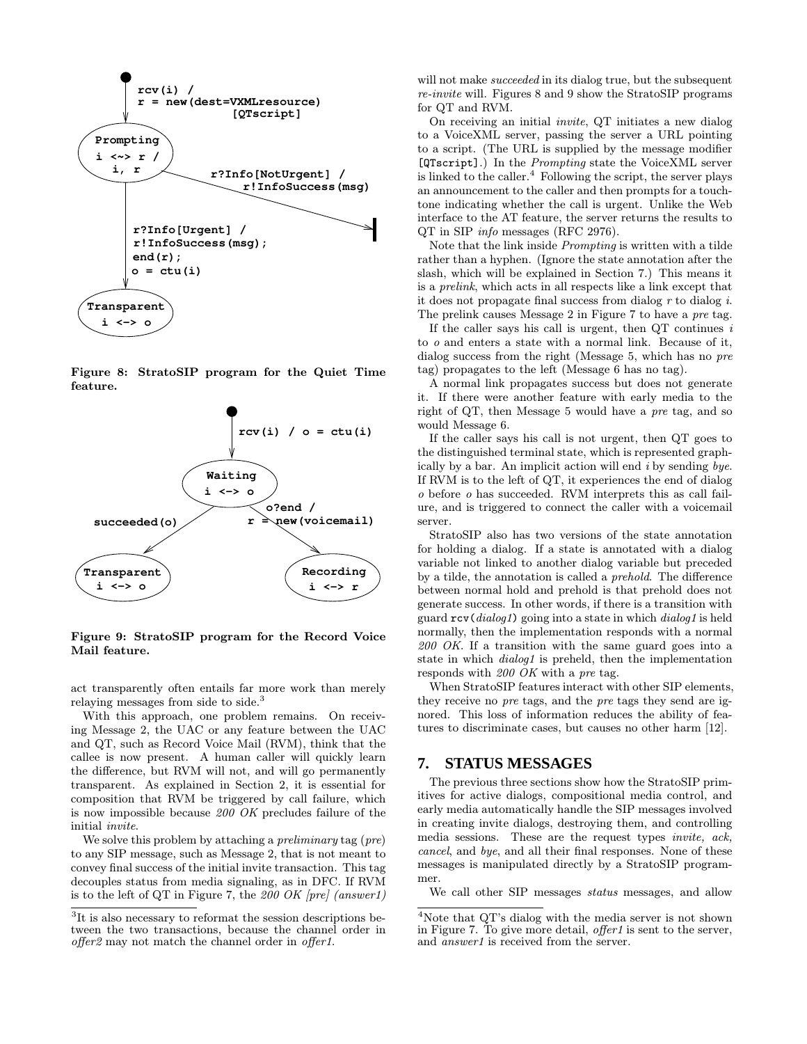

Figure 8: StratoSIP program for the Quiet Time feature.



Figure 9: StratoSIP program for the Record Voice Mail feature.

act transparently often entails far more work than merely relaying messages from side to side.<sup>3</sup>

With this approach, one problem remains. On receiving Message 2, the UAC or any feature between the UAC and QT, such as Record Voice Mail (RVM), think that the callee is now present. A human caller will quickly learn the difference, but RVM will not, and will go permanently transparent. As explained in Section 2, it is essential for composition that RVM be triggered by call failure, which is now impossible because 200 OK precludes failure of the initial invite.

We solve this problem by attaching a *preliminary* tag (*pre*) to any SIP message, such as Message 2, that is not meant to convey final success of the initial invite transaction. This tag decouples status from media signaling, as in DFC. If RVM is to the left of QT in Figure 7, the 200 OK  $[pre]$  (answer1) will not make *succeeded* in its dialog true, but the subsequent re-invite will. Figures 8 and 9 show the StratoSIP programs for QT and RVM.

On receiving an initial invite, QT initiates a new dialog to a VoiceXML server, passing the server a URL pointing to a script. (The URL is supplied by the message modifier [QTscript].) In the Prompting state the VoiceXML server is linked to the caller.<sup>4</sup> Following the script, the server plays an announcement to the caller and then prompts for a touchtone indicating whether the call is urgent. Unlike the Web interface to the AT feature, the server returns the results to QT in SIP info messages (RFC 2976).

Note that the link inside Prompting is written with a tilde rather than a hyphen. (Ignore the state annotation after the slash, which will be explained in Section 7.) This means it is a prelink, which acts in all respects like a link except that it does not propagate final success from dialog  $r$  to dialog  $i$ . The prelink causes Message 2 in Figure 7 to have a pre tag.

If the caller says his call is urgent, then  $\mathrm{QT}$  continues i to o and enters a state with a normal link. Because of it, dialog success from the right (Message 5, which has no pre tag) propagates to the left (Message 6 has no tag).

A normal link propagates success but does not generate it. If there were another feature with early media to the right of QT, then Message 5 would have a pre tag, and so would Message 6.

If the caller says his call is not urgent, then QT goes to the distinguished terminal state, which is represented graphically by a bar. An implicit action will end  $i$  by sending bye. If RVM is to the left of QT, it experiences the end of dialog o before o has succeeded. RVM interprets this as call failure, and is triggered to connect the caller with a voicemail server.

StratoSIP also has two versions of the state annotation for holding a dialog. If a state is annotated with a dialog variable not linked to another dialog variable but preceded by a tilde, the annotation is called a prehold. The difference between normal hold and prehold is that prehold does not generate success. In other words, if there is a transition with guard  $\text{rcv}(dialoq1)$  going into a state in which  $dialoq1$  is held normally, then the implementation responds with a normal 200 OK. If a transition with the same guard goes into a state in which dialog1 is preheld, then the implementation responds with 200 OK with a pre tag.

When StratoSIP features interact with other SIP elements, they receive no pre tags, and the pre tags they send are ignored. This loss of information reduces the ability of features to discriminate cases, but causes no other harm [12].

# **7. STATUS MESSAGES**

The previous three sections show how the StratoSIP primitives for active dialogs, compositional media control, and early media automatically handle the SIP messages involved in creating invite dialogs, destroying them, and controlling media sessions. These are the request types invite, ack, cancel, and bye, and all their final responses. None of these messages is manipulated directly by a StratoSIP programmer.

We call other SIP messages status messages, and allow

<sup>&</sup>lt;sup>3</sup>It is also necessary to reformat the session descriptions between the two transactions, because the channel order in offer2 may not match the channel order in offer1.

<sup>&</sup>lt;sup>4</sup>Note that QT's dialog with the media server is not shown in Figure 7. To give more detail, *offer1* is sent to the server, and *answer1* is received from the server.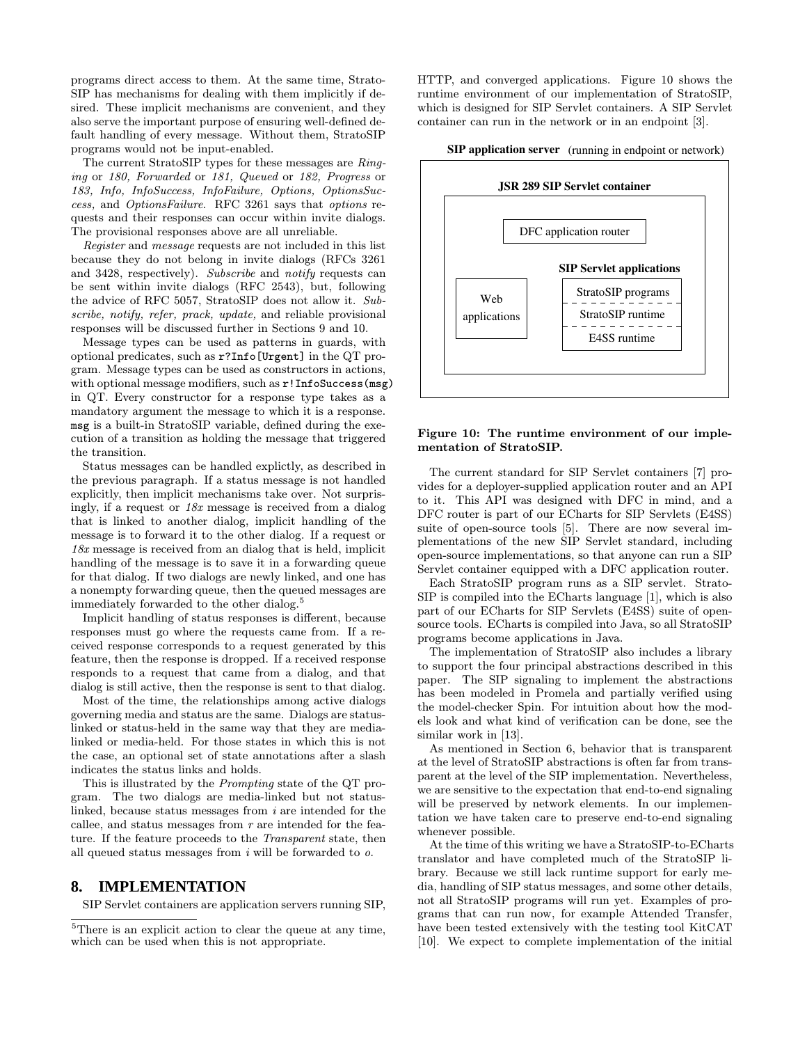programs direct access to them. At the same time, Strato-SIP has mechanisms for dealing with them implicitly if desired. These implicit mechanisms are convenient, and they also serve the important purpose of ensuring well-defined default handling of every message. Without them, StratoSIP programs would not be input-enabled.

The current StratoSIP types for these messages are Ringing or 180, Forwarded or 181, Queued or 182, Progress or 183, Info, InfoSuccess, InfoFailure, Options, OptionsSuccess, and OptionsFailure. RFC 3261 says that options requests and their responses can occur within invite dialogs. The provisional responses above are all unreliable.

Register and message requests are not included in this list because they do not belong in invite dialogs (RFCs 3261 and 3428, respectively). Subscribe and notify requests can be sent within invite dialogs (RFC 2543), but, following the advice of RFC 5057, StratoSIP does not allow it. Subscribe, notify, refer, prack, update, and reliable provisional responses will be discussed further in Sections 9 and 10.

Message types can be used as patterns in guards, with optional predicates, such as r?Info[Urgent] in the QT program. Message types can be used as constructors in actions, with optional message modifiers, such as  $r!$ InfoSuccess(msg) in QT. Every constructor for a response type takes as a mandatory argument the message to which it is a response. msg is a built-in StratoSIP variable, defined during the execution of a transition as holding the message that triggered the transition.

Status messages can be handled explictly, as described in the previous paragraph. If a status message is not handled explicitly, then implicit mechanisms take over. Not surprisingly, if a request or  $18x$  message is received from a dialog that is linked to another dialog, implicit handling of the message is to forward it to the other dialog. If a request or 18x message is received from an dialog that is held, implicit handling of the message is to save it in a forwarding queue for that dialog. If two dialogs are newly linked, and one has a nonempty forwarding queue, then the queued messages are immediately forwarded to the other dialog.<sup>5</sup>

Implicit handling of status responses is different, because responses must go where the requests came from. If a received response corresponds to a request generated by this feature, then the response is dropped. If a received response responds to a request that came from a dialog, and that dialog is still active, then the response is sent to that dialog.

Most of the time, the relationships among active dialogs governing media and status are the same. Dialogs are statuslinked or status-held in the same way that they are medialinked or media-held. For those states in which this is not the case, an optional set of state annotations after a slash indicates the status links and holds.

This is illustrated by the Prompting state of the QT program. The two dialogs are media-linked but not statuslinked, because status messages from i are intended for the callee, and status messages from  $r$  are intended for the feature. If the feature proceeds to the Transparent state, then all queued status messages from  $i$  will be forwarded to  $o$ .

## **8. IMPLEMENTATION**

SIP Servlet containers are application servers running SIP,

HTTP, and converged applications. Figure 10 shows the runtime environment of our implementation of StratoSIP, which is designed for SIP Servlet containers. A SIP Servlet container can run in the network or in an endpoint [3].

**SIP application server** (running in endpoint or network)



#### Figure 10: The runtime environment of our implementation of StratoSIP.

The current standard for SIP Servlet containers [7] provides for a deployer-supplied application router and an API to it. This API was designed with DFC in mind, and a DFC router is part of our ECharts for SIP Servlets (E4SS) suite of open-source tools [5]. There are now several implementations of the new SIP Servlet standard, including open-source implementations, so that anyone can run a SIP Servlet container equipped with a DFC application router.

Each StratoSIP program runs as a SIP servlet. Strato-SIP is compiled into the ECharts language [1], which is also part of our ECharts for SIP Servlets (E4SS) suite of opensource tools. ECharts is compiled into Java, so all StratoSIP programs become applications in Java.

The implementation of StratoSIP also includes a library to support the four principal abstractions described in this paper. The SIP signaling to implement the abstractions has been modeled in Promela and partially verified using the model-checker Spin. For intuition about how the models look and what kind of verification can be done, see the similar work in [13].

As mentioned in Section 6, behavior that is transparent at the level of StratoSIP abstractions is often far from transparent at the level of the SIP implementation. Nevertheless, we are sensitive to the expectation that end-to-end signaling will be preserved by network elements. In our implementation we have taken care to preserve end-to-end signaling whenever possible.

At the time of this writing we have a StratoSIP-to-ECharts translator and have completed much of the StratoSIP library. Because we still lack runtime support for early media, handling of SIP status messages, and some other details, not all StratoSIP programs will run yet. Examples of programs that can run now, for example Attended Transfer, have been tested extensively with the testing tool KitCAT [10]. We expect to complete implementation of the initial

<sup>5</sup>There is an explicit action to clear the queue at any time, which can be used when this is not appropriate.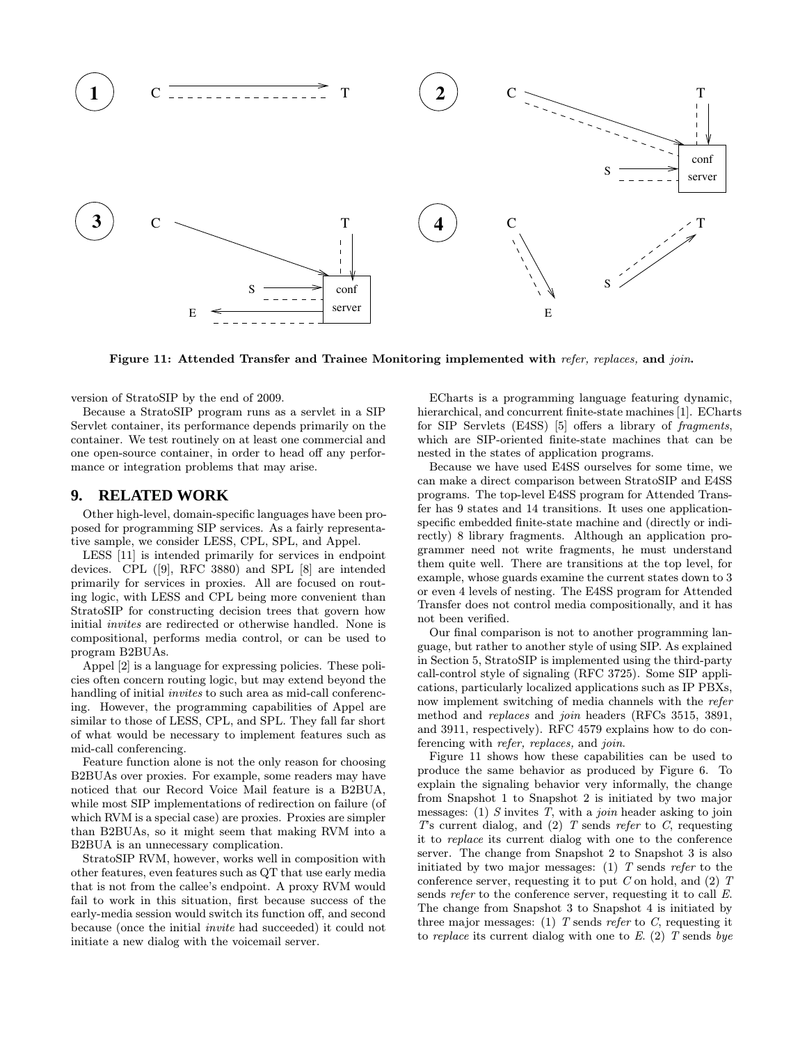

Figure 11: Attended Transfer and Trainee Monitoring implemented with refer, replaces, and join.

version of StratoSIP by the end of 2009.

Because a StratoSIP program runs as a servlet in a SIP Servlet container, its performance depends primarily on the container. We test routinely on at least one commercial and one open-source container, in order to head off any performance or integration problems that may arise.

#### **9. RELATED WORK**

Other high-level, domain-specific languages have been proposed for programming SIP services. As a fairly representative sample, we consider LESS, CPL, SPL, and Appel.

LESS [11] is intended primarily for services in endpoint devices. CPL ([9], RFC 3880) and SPL [8] are intended primarily for services in proxies. All are focused on routing logic, with LESS and CPL being more convenient than StratoSIP for constructing decision trees that govern how initial invites are redirected or otherwise handled. None is compositional, performs media control, or can be used to program B2BUAs.

Appel [2] is a language for expressing policies. These policies often concern routing logic, but may extend beyond the handling of initial *invites* to such area as mid-call conferencing. However, the programming capabilities of Appel are similar to those of LESS, CPL, and SPL. They fall far short of what would be necessary to implement features such as mid-call conferencing.

Feature function alone is not the only reason for choosing B2BUAs over proxies. For example, some readers may have noticed that our Record Voice Mail feature is a B2BUA, while most SIP implementations of redirection on failure (of which RVM is a special case) are proxies. Proxies are simpler than B2BUAs, so it might seem that making RVM into a B2BUA is an unnecessary complication.

StratoSIP RVM, however, works well in composition with other features, even features such as QT that use early media that is not from the callee's endpoint. A proxy RVM would fail to work in this situation, first because success of the early-media session would switch its function off, and second because (once the initial invite had succeeded) it could not initiate a new dialog with the voicemail server.

ECharts is a programming language featuring dynamic, hierarchical, and concurrent finite-state machines [1]. ECharts for SIP Servlets (E4SS) [5] offers a library of fragments, which are SIP-oriented finite-state machines that can be nested in the states of application programs.

Because we have used E4SS ourselves for some time, we can make a direct comparison between StratoSIP and E4SS programs. The top-level E4SS program for Attended Transfer has 9 states and 14 transitions. It uses one applicationspecific embedded finite-state machine and (directly or indirectly) 8 library fragments. Although an application programmer need not write fragments, he must understand them quite well. There are transitions at the top level, for example, whose guards examine the current states down to 3 or even 4 levels of nesting. The E4SS program for Attended Transfer does not control media compositionally, and it has not been verified.

Our final comparison is not to another programming language, but rather to another style of using SIP. As explained in Section 5, StratoSIP is implemented using the third-party call-control style of signaling (RFC 3725). Some SIP applications, particularly localized applications such as IP PBXs, now implement switching of media channels with the refer method and replaces and join headers (RFCs 3515, 3891, and 3911, respectively). RFC 4579 explains how to do conferencing with refer, replaces, and join.

Figure 11 shows how these capabilities can be used to produce the same behavior as produced by Figure 6. To explain the signaling behavior very informally, the change from Snapshot 1 to Snapshot 2 is initiated by two major messages: (1)  $S$  invites  $T$ , with a *join* header asking to join  $T$ 's current dialog, and  $(2)$   $T$  sends refer to  $C$ , requesting it to replace its current dialog with one to the conference server. The change from Snapshot 2 to Snapshot 3 is also initiated by two major messages: (1)  $T$  sends refer to the conference server, requesting it to put  $C$  on hold, and  $(2)$  T sends *refer* to the conference server, requesting it to call E. The change from Snapshot 3 to Snapshot 4 is initiated by three major messages: (1) T sends refer to C, requesting it to replace its current dialog with one to  $E$ . (2)  $T$  sends bye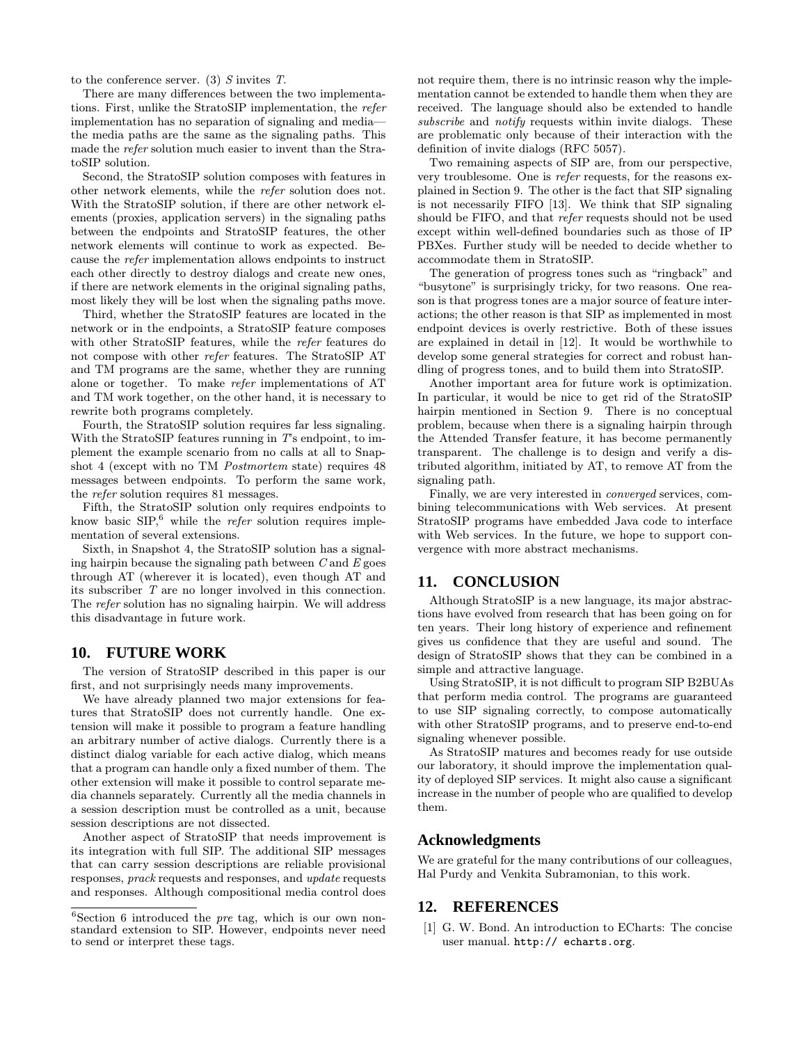to the conference server. (3)  $S$  invites  $T$ .

There are many differences between the two implementations. First, unlike the StratoSIP implementation, the refer implementation has no separation of signaling and media the media paths are the same as the signaling paths. This made the refer solution much easier to invent than the StratoSIP solution.

Second, the StratoSIP solution composes with features in other network elements, while the refer solution does not. With the StratoSIP solution, if there are other network elements (proxies, application servers) in the signaling paths between the endpoints and StratoSIP features, the other network elements will continue to work as expected. Because the refer implementation allows endpoints to instruct each other directly to destroy dialogs and create new ones, if there are network elements in the original signaling paths, most likely they will be lost when the signaling paths move.

Third, whether the StratoSIP features are located in the network or in the endpoints, a StratoSIP feature composes with other StratoSIP features, while the refer features do not compose with other refer features. The StratoSIP AT and TM programs are the same, whether they are running alone or together. To make refer implementations of AT and TM work together, on the other hand, it is necessary to rewrite both programs completely.

Fourth, the StratoSIP solution requires far less signaling. With the StratoSIP features running in  $T$ 's endpoint, to implement the example scenario from no calls at all to Snapshot 4 (except with no TM Postmortem state) requires 48 messages between endpoints. To perform the same work, the refer solution requires 81 messages.

Fifth, the StratoSIP solution only requires endpoints to know basic  $\text{SIP}$ <sup>6</sup> while the *refer* solution requires implementation of several extensions.

Sixth, in Snapshot 4, the StratoSIP solution has a signaling hairpin because the signaling path between  $C$  and  $E$  goes through AT (wherever it is located), even though AT and its subscriber T are no longer involved in this connection. The refer solution has no signaling hairpin. We will address this disadvantage in future work.

## **10. FUTURE WORK**

The version of StratoSIP described in this paper is our first, and not surprisingly needs many improvements.

We have already planned two major extensions for features that StratoSIP does not currently handle. One extension will make it possible to program a feature handling an arbitrary number of active dialogs. Currently there is a distinct dialog variable for each active dialog, which means that a program can handle only a fixed number of them. The other extension will make it possible to control separate media channels separately. Currently all the media channels in a session description must be controlled as a unit, because session descriptions are not dissected.

Another aspect of StratoSIP that needs improvement is its integration with full SIP. The additional SIP messages that can carry session descriptions are reliable provisional responses, prack requests and responses, and update requests and responses. Although compositional media control does

not require them, there is no intrinsic reason why the implementation cannot be extended to handle them when they are received. The language should also be extended to handle subscribe and notify requests within invite dialogs. These are problematic only because of their interaction with the definition of invite dialogs (RFC 5057).

Two remaining aspects of SIP are, from our perspective, very troublesome. One is refer requests, for the reasons explained in Section 9. The other is the fact that SIP signaling is not necessarily FIFO [13]. We think that SIP signaling should be FIFO, and that refer requests should not be used except within well-defined boundaries such as those of IP PBXes. Further study will be needed to decide whether to accommodate them in StratoSIP.

The generation of progress tones such as "ringback" and "busytone" is surprisingly tricky, for two reasons. One reason is that progress tones are a major source of feature interactions; the other reason is that SIP as implemented in most endpoint devices is overly restrictive. Both of these issues are explained in detail in [12]. It would be worthwhile to develop some general strategies for correct and robust handling of progress tones, and to build them into StratoSIP.

Another important area for future work is optimization. In particular, it would be nice to get rid of the StratoSIP hairpin mentioned in Section 9. There is no conceptual problem, because when there is a signaling hairpin through the Attended Transfer feature, it has become permanently transparent. The challenge is to design and verify a distributed algorithm, initiated by AT, to remove AT from the signaling path.

Finally, we are very interested in converged services, combining telecommunications with Web services. At present StratoSIP programs have embedded Java code to interface with Web services. In the future, we hope to support convergence with more abstract mechanisms.

#### **11. CONCLUSION**

Although StratoSIP is a new language, its major abstractions have evolved from research that has been going on for ten years. Their long history of experience and refinement gives us confidence that they are useful and sound. The design of StratoSIP shows that they can be combined in a simple and attractive language.

Using StratoSIP, it is not difficult to program SIP B2BUAs that perform media control. The programs are guaranteed to use SIP signaling correctly, to compose automatically with other StratoSIP programs, and to preserve end-to-end signaling whenever possible.

As StratoSIP matures and becomes ready for use outside our laboratory, it should improve the implementation quality of deployed SIP services. It might also cause a significant increase in the number of people who are qualified to develop them.

#### **Acknowledgments**

We are grateful for the many contributions of our colleagues, Hal Purdy and Venkita Subramonian, to this work.

## **12. REFERENCES**

[1] G. W. Bond. An introduction to ECharts: The concise user manual. http:// echarts.org.

 $6$ Section 6 introduced the *pre* tag, which is our own nonstandard extension to SIP. However, endpoints never need to send or interpret these tags.